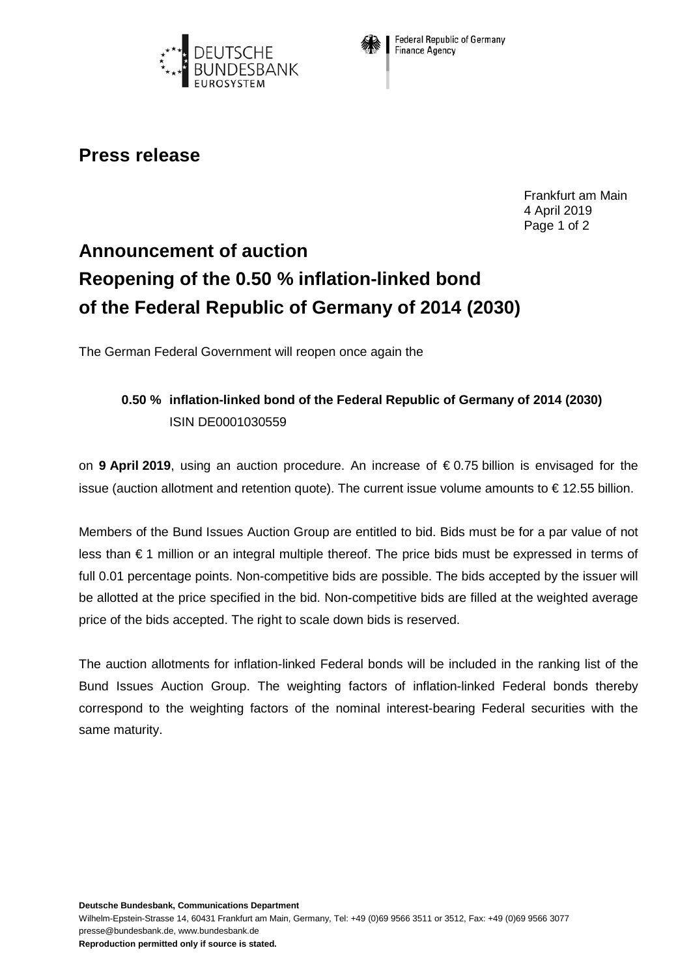



**Federal Republic of Germany** Finance Agency

## **Press release**

Frankfurt am Main 4 April 2019 Page 1 of 2

## **Announcement of auction Reopening of the 0.50 % inflation-linked bond of the Federal Republic of Germany of 2014 (2030)**

The German Federal Government will reopen once again the

## **0.50 % inflation-linked bond of the Federal Republic of Germany of 2014 (2030)** ISIN DE0001030559

on **9 April 2019**, using an auction procedure. An increase of € 0.75 billion is envisaged for the issue (auction allotment and retention quote). The current issue volume amounts to € 12.55 billion.

Members of the Bund Issues Auction Group are entitled to bid. Bids must be for a par value of not less than € 1 million or an integral multiple thereof. The price bids must be expressed in terms of full 0.01 percentage points. Non-competitive bids are possible. The bids accepted by the issuer will be allotted at the price specified in the bid. Non-competitive bids are filled at the weighted average price of the bids accepted. The right to scale down bids is reserved.

The auction allotments for inflation-linked Federal bonds will be included in the ranking list of the Bund Issues Auction Group. The weighting factors of inflation-linked Federal bonds thereby correspond to the weighting factors of the nominal interest-bearing Federal securities with the same maturity.